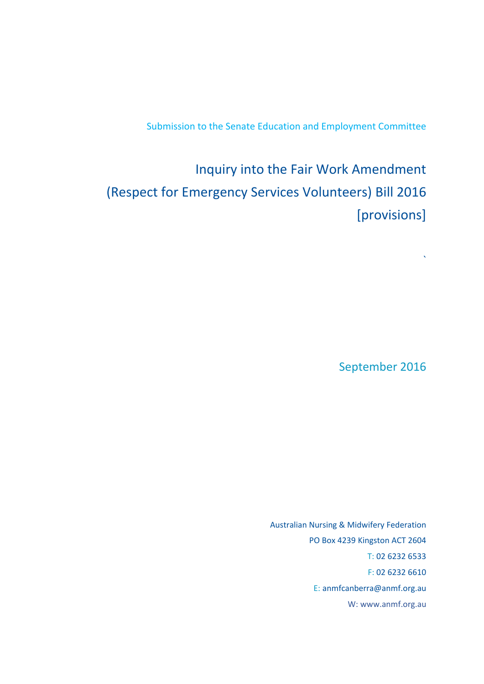Submission to the Senate Education and Employment Committee

Inquiry into the Fair Work Amendment (Respect for Emergency Services Volunteers) Bill 2016 [provisions]

September 2016

 $\lambda$ 

Australian Nursing & Midwifery Federation PO Box 4239 Kingston ACT 2604 T: 02 6232 6533 F: 02 6232 6610 E: anmfcanberra@anmf.org.au W: [www.anmf.org.au](http://www.anmf.org.au/)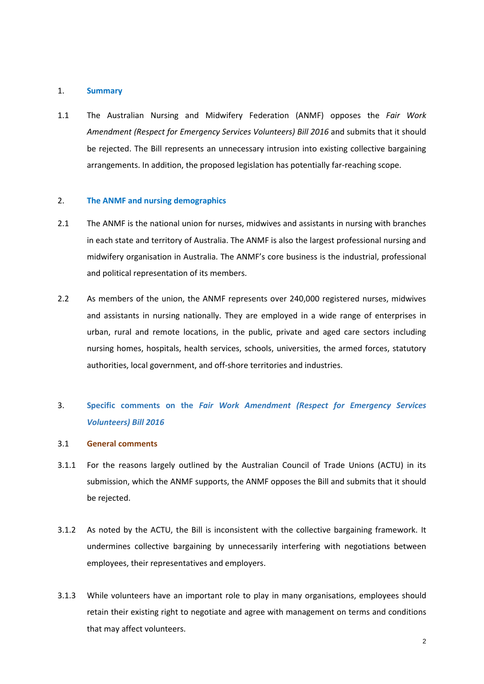#### 1. **Summary**

1.1 The Australian Nursing and Midwifery Federation (ANMF) opposes the *Fair Work Amendment (Respect for Emergency Services Volunteers) Bill 2016* and submits that it should be rejected. The Bill represents an unnecessary intrusion into existing collective bargaining arrangements. In addition, the proposed legislation has potentially far-reaching scope.

#### 2. **The ANMF and nursing demographics**

- 2.1 The ANMF is the national union for nurses, midwives and assistants in nursing with branches in each state and territory of Australia. The ANMF is also the largest professional nursing and midwifery organisation in Australia. The ANMF's core business is the industrial, professional and political representation of its members.
- 2.2 As members of the union, the ANMF represents over 240,000 registered nurses, midwives and assistants in nursing nationally. They are employed in a wide range of enterprises in urban, rural and remote locations, in the public, private and aged care sectors including nursing homes, hospitals, health services, schools, universities, the armed forces, statutory authorities, local government, and off-shore territories and industries.

# 3. **Specific comments on the** *Fair Work Amendment (Respect for Emergency Services Volunteers) Bill 2016*

- 3.1 **General comments**
- 3.1.1 For the reasons largely outlined by the Australian Council of Trade Unions (ACTU) in its submission, which the ANMF supports, the ANMF opposes the Bill and submits that it should be rejected.
- 3.1.2 As noted by the ACTU, the Bill is inconsistent with the collective bargaining framework. It undermines collective bargaining by unnecessarily interfering with negotiations between employees, their representatives and employers.
- 3.1.3 While volunteers have an important role to play in many organisations, employees should retain their existing right to negotiate and agree with management on terms and conditions that may affect volunteers.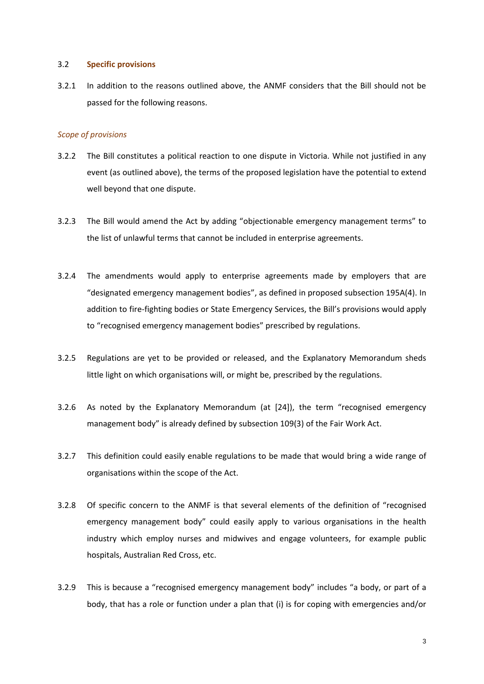#### 3.2 **Specific provisions**

3.2.1 In addition to the reasons outlined above, the ANMF considers that the Bill should not be passed for the following reasons.

### *Scope of provisions*

- 3.2.2 The Bill constitutes a political reaction to one dispute in Victoria. While not justified in any event (as outlined above), the terms of the proposed legislation have the potential to extend well beyond that one dispute.
- 3.2.3 The Bill would amend the Act by adding "objectionable emergency management terms" to the list of unlawful terms that cannot be included in enterprise agreements.
- 3.2.4 The amendments would apply to enterprise agreements made by employers that are "designated emergency management bodies", as defined in proposed subsection 195A(4). In addition to fire-fighting bodies or State Emergency Services, the Bill's provisions would apply to "recognised emergency management bodies" prescribed by regulations.
- 3.2.5 Regulations are yet to be provided or released, and the Explanatory Memorandum sheds little light on which organisations will, or might be, prescribed by the regulations.
- 3.2.6 As noted by the Explanatory Memorandum (at [24]), the term "recognised emergency management body" is already defined by subsection 109(3) of the Fair Work Act.
- 3.2.7 This definition could easily enable regulations to be made that would bring a wide range of organisations within the scope of the Act.
- 3.2.8 Of specific concern to the ANMF is that several elements of the definition of "recognised emergency management body" could easily apply to various organisations in the health industry which employ nurses and midwives and engage volunteers, for example public hospitals, Australian Red Cross, etc.
- 3.2.9 This is because a "recognised emergency management body" includes "a body, or part of a body, that has a role or function under a plan that (i) is for coping with emergencies and/or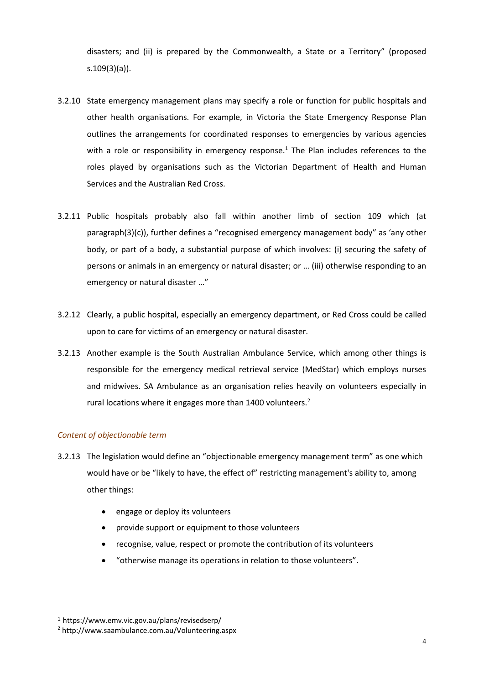disasters; and (ii) is prepared by the Commonwealth, a State or a Territory" (proposed s.109(3)(a)).

- 3.2.10 State emergency management plans may specify a role or function for public hospitals and other health organisations. For example, in Victoria the State Emergency Response Plan outlines the arrangements for coordinated responses to emergencies by various agencies with a role or responsibility in emergency response.<sup>1</sup> The Plan includes references to the roles played by organisations such as the Victorian Department of Health and Human Services and the Australian Red Cross.
- 3.2.11 Public hospitals probably also fall within another limb of section 109 which (at paragraph(3)(c)), further defines a "recognised emergency management body" as 'any other body, or part of a body, a substantial purpose of which involves: (i) securing the safety of persons or animals in an emergency or natural disaster; or … (iii) otherwise responding to an emergency or natural disaster …"
- 3.2.12 Clearly, a public hospital, especially an emergency department, or Red Cross could be called upon to care for victims of an emergency or natural disaster.
- 3.2.13 Another example is the South Australian Ambulance Service, which among other things is responsible for the emergency medical retrieval service (MedStar) which employs nurses and midwives. SA Ambulance as an organisation relies heavily on volunteers especially in rural locations where it engages more than 1400 volunteers.<sup>2</sup>

## *Content of objectionable term*

- 3.2.13 The legislation would define an "objectionable emergency management term" as one which would have or be "likely to have, the effect of" restricting management's ability to, among other things:
	- engage or deploy its volunteers
	- provide support or equipment to those volunteers
	- recognise, value, respect or promote the contribution of its volunteers
	- "otherwise manage its operations in relation to those volunteers".

 $\overline{a}$ 

<sup>1</sup> <https://www.emv.vic.gov.au/plans/revisedserp/>

<sup>2</sup> <http://www.saambulance.com.au/Volunteering.aspx>